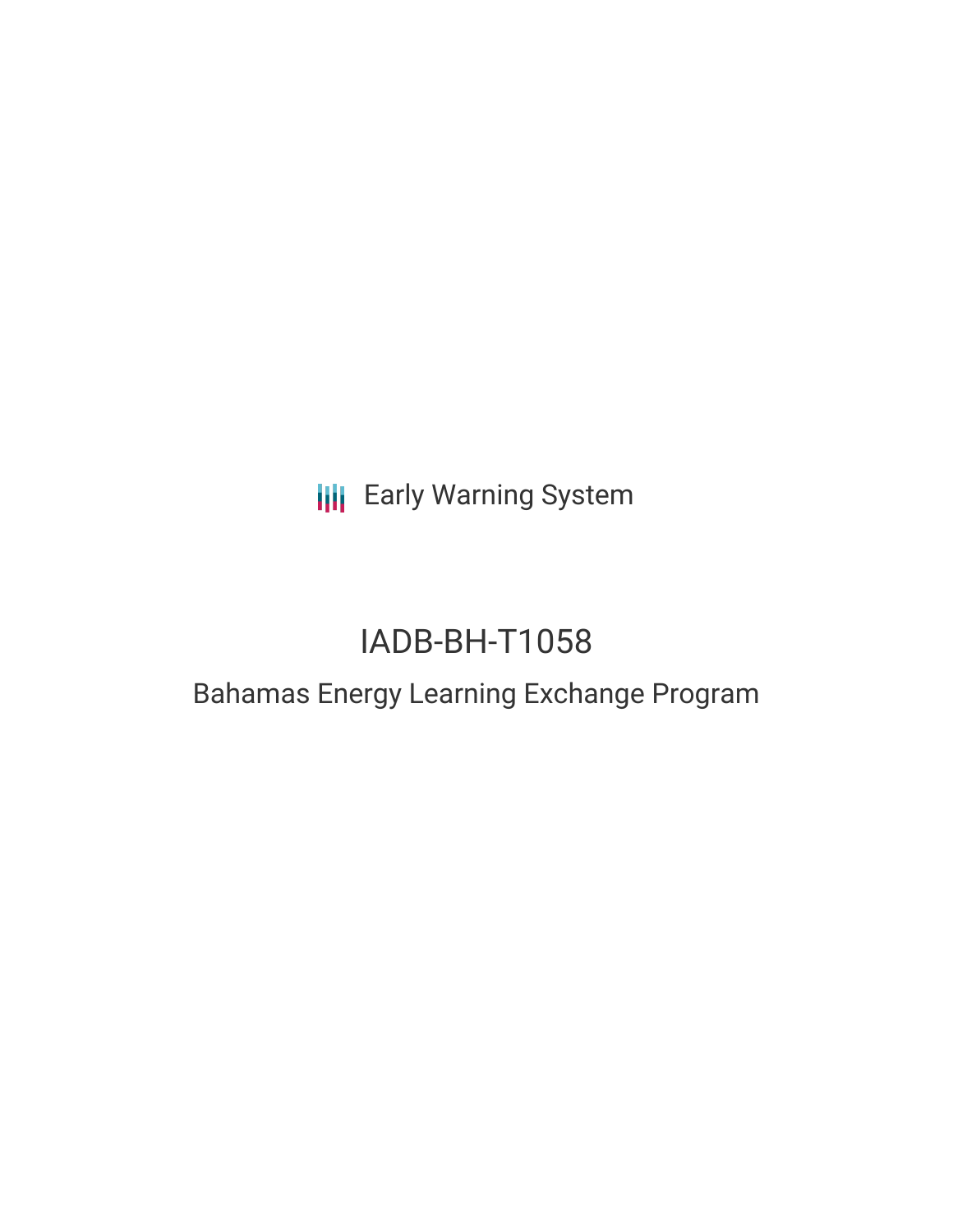**III** Early Warning System

# IADB-BH-T1058

## Bahamas Energy Learning Exchange Program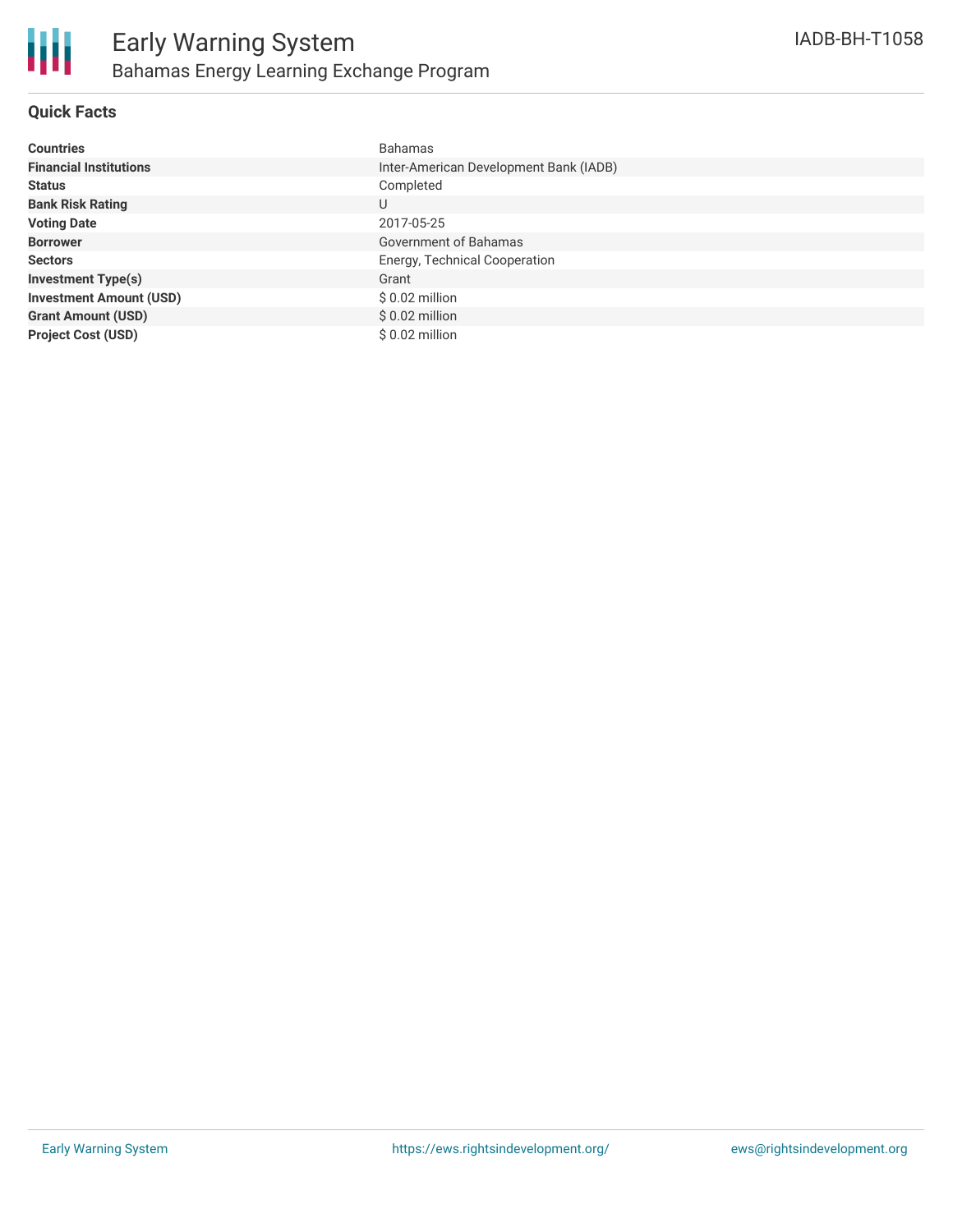

### **Quick Facts**

| <b>Countries</b>               | <b>Bahamas</b>                         |
|--------------------------------|----------------------------------------|
| <b>Financial Institutions</b>  | Inter-American Development Bank (IADB) |
| <b>Status</b>                  | Completed                              |
| <b>Bank Risk Rating</b>        | U                                      |
| <b>Voting Date</b>             | 2017-05-25                             |
| <b>Borrower</b>                | Government of Bahamas                  |
| <b>Sectors</b>                 | Energy, Technical Cooperation          |
| <b>Investment Type(s)</b>      | Grant                                  |
| <b>Investment Amount (USD)</b> | $$0.02$ million                        |
| <b>Grant Amount (USD)</b>      | $$0.02$ million                        |
| <b>Project Cost (USD)</b>      | $$0.02$ million                        |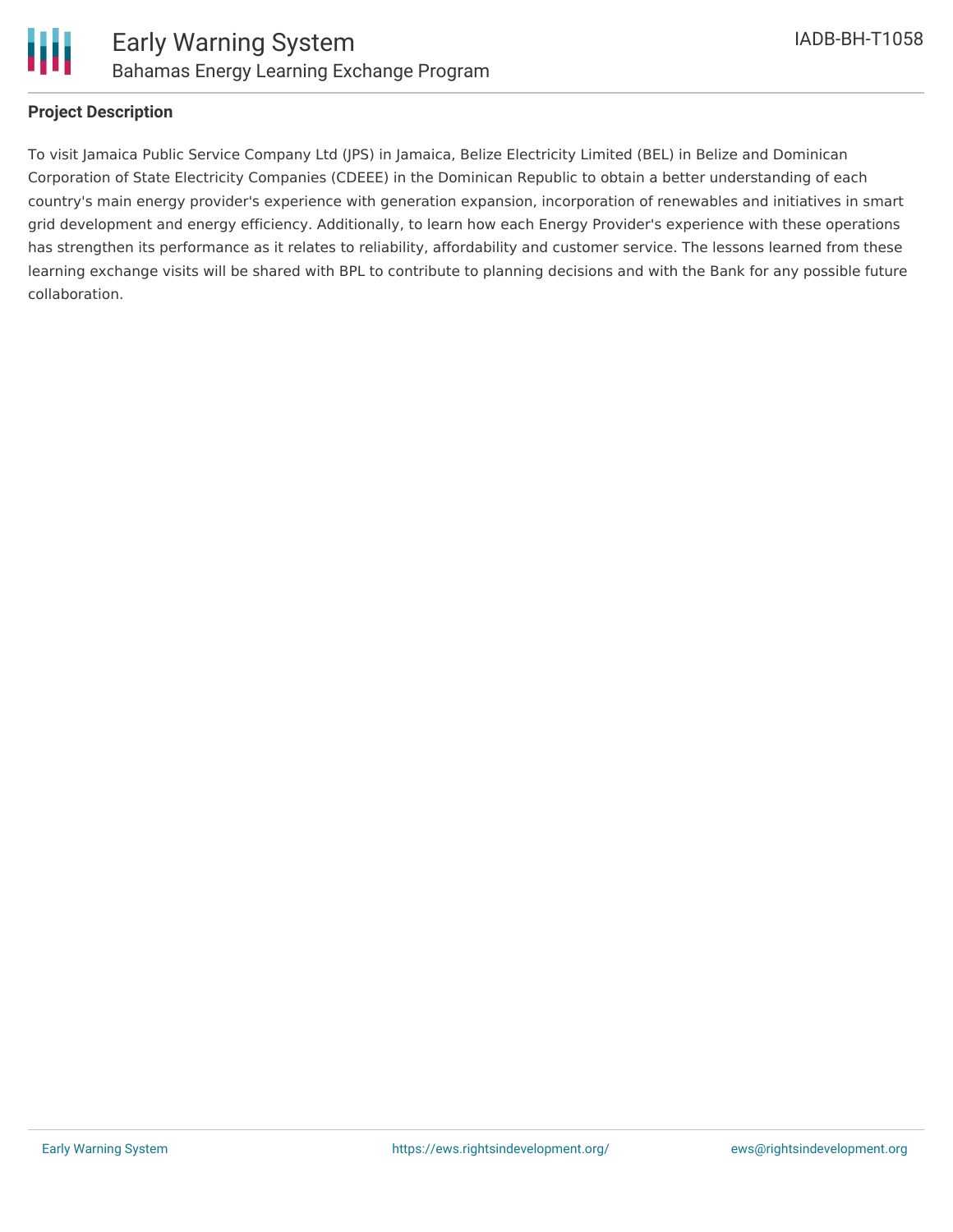

#### **Project Description**

To visit Jamaica Public Service Company Ltd (JPS) in Jamaica, Belize Electricity Limited (BEL) in Belize and Dominican Corporation of State Electricity Companies (CDEEE) in the Dominican Republic to obtain a better understanding of each country's main energy provider's experience with generation expansion, incorporation of renewables and initiatives in smart grid development and energy efficiency. Additionally, to learn how each Energy Provider's experience with these operations has strengthen its performance as it relates to reliability, affordability and customer service. The lessons learned from these learning exchange visits will be shared with BPL to contribute to planning decisions and with the Bank for any possible future collaboration.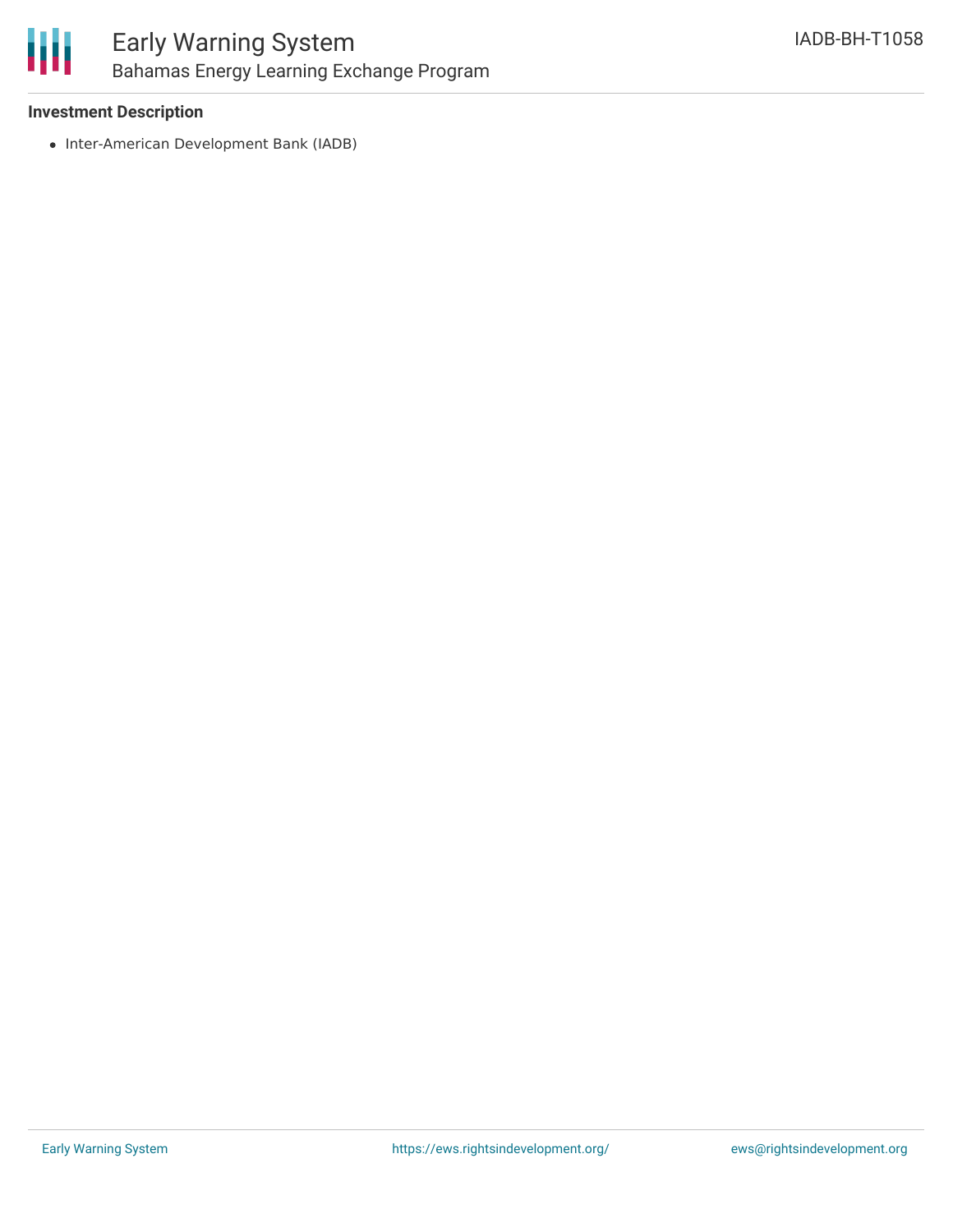

#### **Investment Description**

• Inter-American Development Bank (IADB)